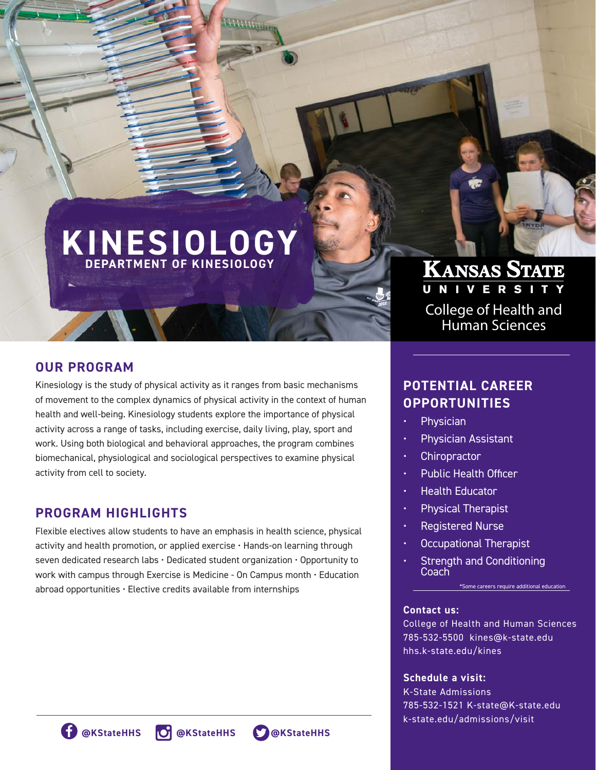# **KINESIOLOGY DEPARTMENT OF KINESIOLOGY**

**Gillington** 

# **OUR PROGRAM**

Kinesiology is the study of physical activity as it ranges from basic mechanisms of movement to the complex dynamics of physical activity in the context of human health and well-being. Kinesiology students explore the importance of physical activity across a range of tasks, including exercise, daily living, play, sport and work. Using both biological and behavioral approaches, the program combines biomechanical, physiological and sociological perspectives to examine physical activity from cell to society.

## **PROGRAM HIGHLIGHTS**

Flexible electives allow students to have an emphasis in health science, physical activity and health promotion, or applied exercise • Hands-on learning through seven dedicated research labs • Dedicated student organization • Opportunity to work with campus through Exercise is Medicine - On Campus month • Education abroad opportunities • Elective credits available from internships

# KANSAS STATE

College of Health and Human Sciences

# **POTENTIAL CAREER OPPORTUNITIES**

- **Physician**
- Physician Assistant
- **Chiropractor**
- Public Health Officer
- Health Educator
- Physical Therapist
- Registered Nurse
- Occupational Therapist
- Strength and Conditioning **Coach**

#### \*Some careers require additional education

#### **Contact us:**

College of Health and Human Sciences 785-532-5500 kines@k-state.edu hhs.k-state.edu/kines

#### **Schedule a visit:**

K-State Admissions 785-532-1521 K-state@K-state.edu k-state.edu/admissions/visit